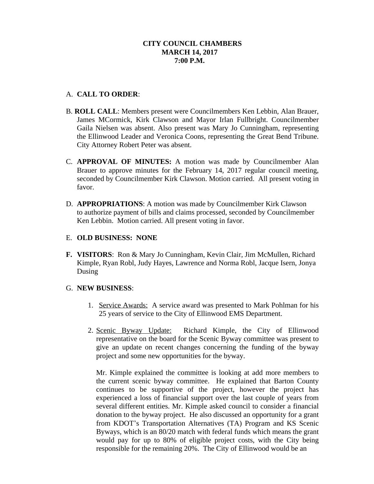# **CITY COUNCIL CHAMBERS MARCH 14, 2017 7:00 P.M.**

# A. **CALL TO ORDER**:

- B. **ROLL CALL**: Members present were Councilmembers Ken Lebbin, Alan Brauer, James MCormick, Kirk Clawson and Mayor Irlan Fullbright. Councilmember Gaila Nielsen was absent. Also present was Mary Jo Cunningham, representing the Ellinwood Leader and Veronica Coons, representing the Great Bend Tribune. City Attorney Robert Peter was absent.
- C. **APPROVAL OF MINUTES:** A motion was made by Councilmember Alan Brauer to approve minutes for the February 14, 2017 regular council meeting, seconded by Councilmember Kirk Clawson. Motion carried. All present voting in favor.
- D. **APPROPRIATIONS**: A motion was made by Councilmember Kirk Clawson to authorize payment of bills and claims processed, seconded by Councilmember Ken Lebbin. Motion carried. All present voting in favor.

## E. **OLD BUSINESS: NONE**

**F. VISITORS**: Ron & Mary Jo Cunningham, Kevin Clair, Jim McMullen, Richard Kimple, Ryan Robl, Judy Hayes, Lawrence and Norma Robl, Jacque Isern, Jonya Dusing

## G. **NEW BUSINESS**:

- 1. Service Awards: A service award was presented to Mark Pohlman for his 25 years of service to the City of Ellinwood EMS Department.
- 2. Scenic Byway Update: Richard Kimple, the City of Ellinwood representative on the board for the Scenic Byway committee was present to give an update on recent changes concerning the funding of the byway project and some new opportunities for the byway.

Mr. Kimple explained the committee is looking at add more members to the current scenic byway committee. He explained that Barton County continues to be supportive of the project, however the project has experienced a loss of financial support over the last couple of years from several different entities. Mr. Kimple asked council to consider a financial donation to the byway project. He also discussed an opportunity for a grant from KDOT's Transportation Alternatives (TA) Program and KS Scenic Byways, which is an 80/20 match with federal funds which means the grant would pay for up to 80% of eligible project costs, with the City being responsible for the remaining 20%. The City of Ellinwood would be an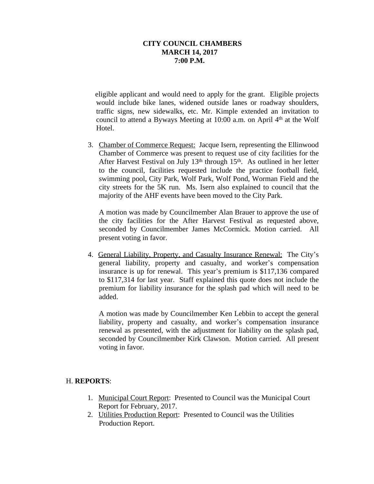# **CITY COUNCIL CHAMBERS MARCH 14, 2017 7:00 P.M.**

eligible applicant and would need to apply for the grant. Eligible projects would include bike lanes, widened outside lanes or roadway shoulders, traffic signs, new sidewalks, etc. Mr. Kimple extended an invitation to council to attend a Byways Meeting at 10:00 a.m. on April 4<sup>th</sup> at the Wolf Hotel.

3. Chamber of Commerce Request: Jacque Isern, representing the Ellinwood Chamber of Commerce was present to request use of city facilities for the After Harvest Festival on July 13<sup>th</sup> through 15<sup>th</sup>. As outlined in her letter to the council, facilities requested include the practice football field, swimming pool, City Park, Wolf Park, Wolf Pond, Worman Field and the city streets for the 5K run. Ms. Isern also explained to council that the majority of the AHF events have been moved to the City Park.

A motion was made by Councilmember Alan Brauer to approve the use of the city facilities for the After Harvest Festival as requested above, seconded by Councilmember James McCormick. Motion carried. All present voting in favor.

4. General Liability, Property, and Casualty Insurance Renewal: The City's general liability, property and casualty, and worker's compensation insurance is up for renewal. This year's premium is \$117,136 compared to \$117,314 for last year. Staff explained this quote does not include the premium for liability insurance for the splash pad which will need to be added.

A motion was made by Councilmember Ken Lebbin to accept the general liability, property and casualty, and worker's compensation insurance renewal as presented, with the adjustment for liability on the splash pad, seconded by Councilmember Kirk Clawson. Motion carried. All present voting in favor.

## H. **REPORTS**:

- 1. Municipal Court Report: Presented to Council was the Municipal Court Report for February, 2017.
- 2. Utilities Production Report: Presented to Council was the Utilities Production Report.